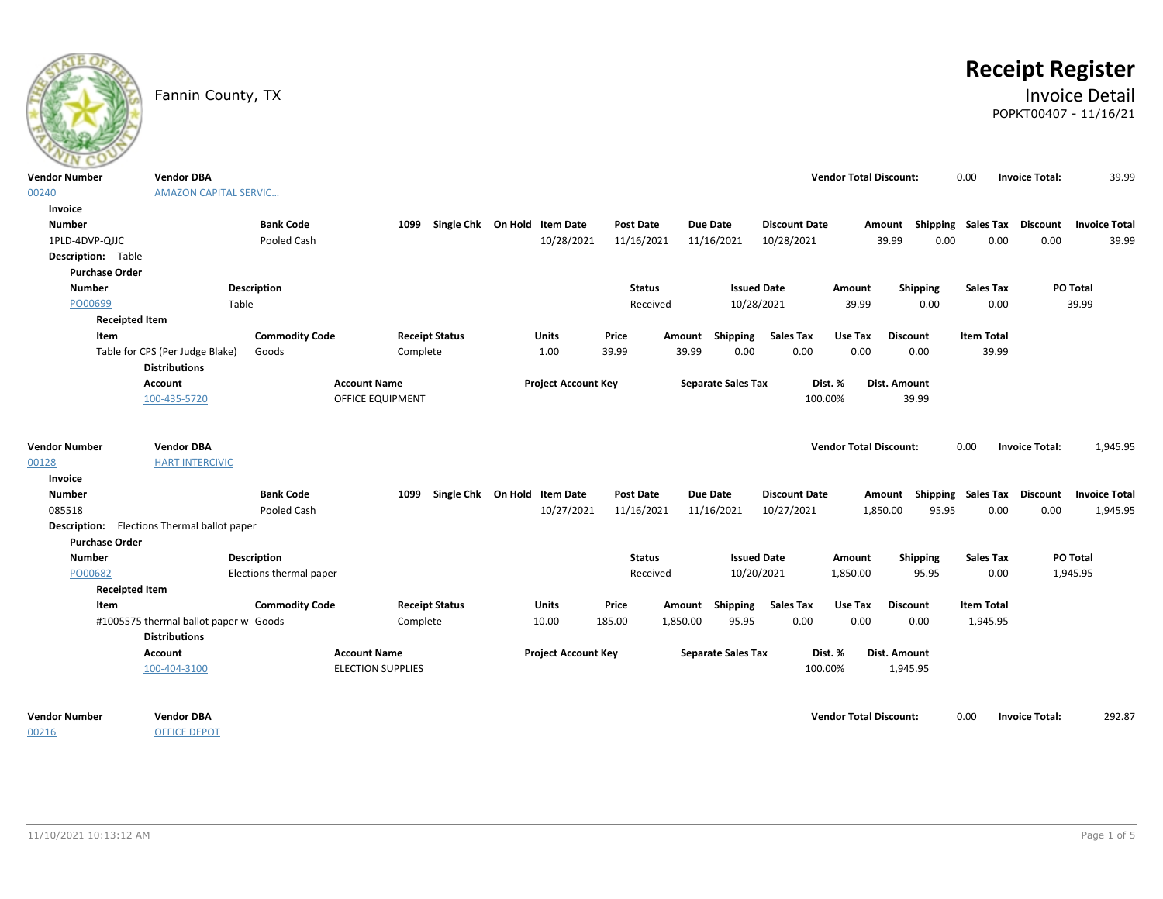

# **Receipt Register**

### Fannin County, TX **Invoice Detail** POPKT00407 - 11/16/21

| $\sim$                    |                                                    |                         |                          |                                   |                            |                  |          |                           |                      |                               |                   |                             |                       |                      |
|---------------------------|----------------------------------------------------|-------------------------|--------------------------|-----------------------------------|----------------------------|------------------|----------|---------------------------|----------------------|-------------------------------|-------------------|-----------------------------|-----------------------|----------------------|
| Vendor Number             | <b>Vendor DBA</b>                                  |                         |                          |                                   |                            |                  |          |                           |                      | <b>Vendor Total Discount:</b> |                   | 0.00                        | <b>Invoice Total:</b> | 39.99                |
| 00240                     | <b>AMAZON CAPITAL SERVIC</b>                       |                         |                          |                                   |                            |                  |          |                           |                      |                               |                   |                             |                       |                      |
| Invoice                   |                                                    |                         |                          |                                   |                            |                  |          |                           |                      |                               |                   |                             |                       |                      |
| <b>Number</b>             |                                                    | <b>Bank Code</b>        |                          | 1099 Single Chk On Hold Item Date |                            | <b>Post Date</b> |          | Due Date                  | <b>Discount Date</b> |                               | Amount            | Shipping Sales Tax Discount |                       | Invoice Total        |
| 1PLD-4DVP-QJJC            |                                                    | Pooled Cash             |                          |                                   | 10/28/2021                 | 11/16/2021       |          | 11/16/2021                | 10/28/2021           |                               | 39.99<br>0.00     | 0.00                        | 0.00                  | 39.99                |
| <b>Description:</b> Table |                                                    |                         |                          |                                   |                            |                  |          |                           |                      |                               |                   |                             |                       |                      |
| <b>Purchase Order</b>     |                                                    |                         |                          |                                   |                            |                  |          |                           |                      |                               |                   |                             |                       |                      |
| <b>Number</b>             |                                                    | <b>Description</b>      |                          |                                   |                            | <b>Status</b>    |          | <b>Issued Date</b>        |                      | Amount                        | Shipping          | <b>Sales Tax</b>            |                       | PO Total             |
| PO00699                   | Table                                              |                         |                          |                                   |                            | Received         |          | 10/28/2021                |                      | 39.99                         | 0.00              | 0.00                        |                       | 39.99                |
| <b>Receipted Item</b>     |                                                    |                         |                          |                                   |                            |                  |          |                           |                      |                               |                   |                             |                       |                      |
| Item                      |                                                    | <b>Commodity Code</b>   |                          | <b>Receipt Status</b>             | <b>Units</b>               | Price            | Amount   | Shipping                  | <b>Sales Tax</b>     | Use Tax                       | <b>Discount</b>   | <b>Item Total</b>           |                       |                      |
|                           | Table for CPS (Per Judge Blake)                    | Goods                   | Complete                 |                                   | 1.00                       | 39.99            | 39.99    | 0.00                      | 0.00                 | 0.00                          | 0.00              | 39.99                       |                       |                      |
|                           | <b>Distributions</b>                               |                         |                          |                                   |                            |                  |          |                           |                      |                               |                   |                             |                       |                      |
|                           | Account                                            |                         | <b>Account Name</b>      |                                   | <b>Project Account Key</b> |                  |          | <b>Separate Sales Tax</b> |                      | Dist. %                       | Dist. Amount      |                             |                       |                      |
|                           | 100-435-5720                                       |                         | <b>OFFICE EQUIPMENT</b>  |                                   |                            |                  |          |                           | 100.00%              |                               | 39.99             |                             |                       |                      |
|                           |                                                    |                         |                          |                                   |                            |                  |          |                           |                      |                               |                   |                             |                       |                      |
| <b>Vendor Number</b>      | <b>Vendor DBA</b>                                  |                         |                          |                                   |                            |                  |          |                           |                      | <b>Vendor Total Discount:</b> |                   | 0.00                        | <b>Invoice Total:</b> | 1,945.95             |
| 00128                     | <b>HART INTERCIVIC</b>                             |                         |                          |                                   |                            |                  |          |                           |                      |                               |                   |                             |                       |                      |
| Invoice                   |                                                    |                         |                          |                                   |                            |                  |          |                           |                      |                               |                   |                             |                       |                      |
| <b>Number</b>             |                                                    | <b>Bank Code</b>        |                          | 1099 Single Chk On Hold Item Date |                            | <b>Post Date</b> |          | Due Date                  | <b>Discount Date</b> |                               | Amount            | Shipping Sales Tax          | Discount              | <b>Invoice Total</b> |
| 085518                    |                                                    | Pooled Cash             |                          |                                   | 10/27/2021                 | 11/16/2021       |          | 11/16/2021                | 10/27/2021           |                               | 1,850.00<br>95.95 | 0.00                        | 0.00                  | 1,945.95             |
|                           | <b>Description:</b> Elections Thermal ballot paper |                         |                          |                                   |                            |                  |          |                           |                      |                               |                   |                             |                       |                      |
| <b>Purchase Order</b>     |                                                    |                         |                          |                                   |                            |                  |          |                           |                      |                               |                   |                             |                       |                      |
| <b>Number</b>             |                                                    | <b>Description</b>      |                          |                                   |                            | <b>Status</b>    |          | <b>Issued Date</b>        |                      | Amount                        | Shipping          | <b>Sales Tax</b>            |                       | PO Total             |
| PO00682                   |                                                    | Elections thermal paper |                          |                                   |                            | Received         |          | 10/20/2021                |                      | 1,850.00                      | 95.95             | 0.00                        |                       | 1,945.95             |
| <b>Receipted Item</b>     |                                                    |                         |                          |                                   |                            |                  |          |                           |                      |                               |                   |                             |                       |                      |
| Item                      |                                                    | <b>Commodity Code</b>   |                          | <b>Receipt Status</b>             | <b>Units</b>               | Price            | Amount   | Shipping                  | <b>Sales Tax</b>     | Use Tax                       | <b>Discount</b>   | <b>Item Total</b>           |                       |                      |
|                           | #1005575 thermal ballot paper w Goods              |                         | Complete                 |                                   | 10.00                      | 185.00           | 1,850.00 | 95.95                     | 0.00                 | 0.00                          | 0.00              | 1,945.95                    |                       |                      |
|                           | <b>Distributions</b>                               |                         |                          |                                   |                            |                  |          |                           |                      |                               |                   |                             |                       |                      |
|                           | Account                                            |                         | <b>Account Name</b>      |                                   | <b>Project Account Key</b> |                  |          | <b>Separate Sales Tax</b> |                      | Dist. %                       | Dist. Amount      |                             |                       |                      |
|                           | 100-404-3100                                       |                         | <b>ELECTION SUPPLIES</b> |                                   |                            |                  |          |                           | 100.00%              |                               | 1,945.95          |                             |                       |                      |
| Vendor Number             | <b>Vendor DBA</b>                                  |                         |                          |                                   |                            |                  |          |                           |                      | <b>Vendor Total Discount:</b> |                   | 0.00                        | <b>Invoice Total:</b> | 292.87               |
| 00216                     | <b>OFFICE DEPOT</b>                                |                         |                          |                                   |                            |                  |          |                           |                      |                               |                   |                             |                       |                      |
|                           |                                                    |                         |                          |                                   |                            |                  |          |                           |                      |                               |                   |                             |                       |                      |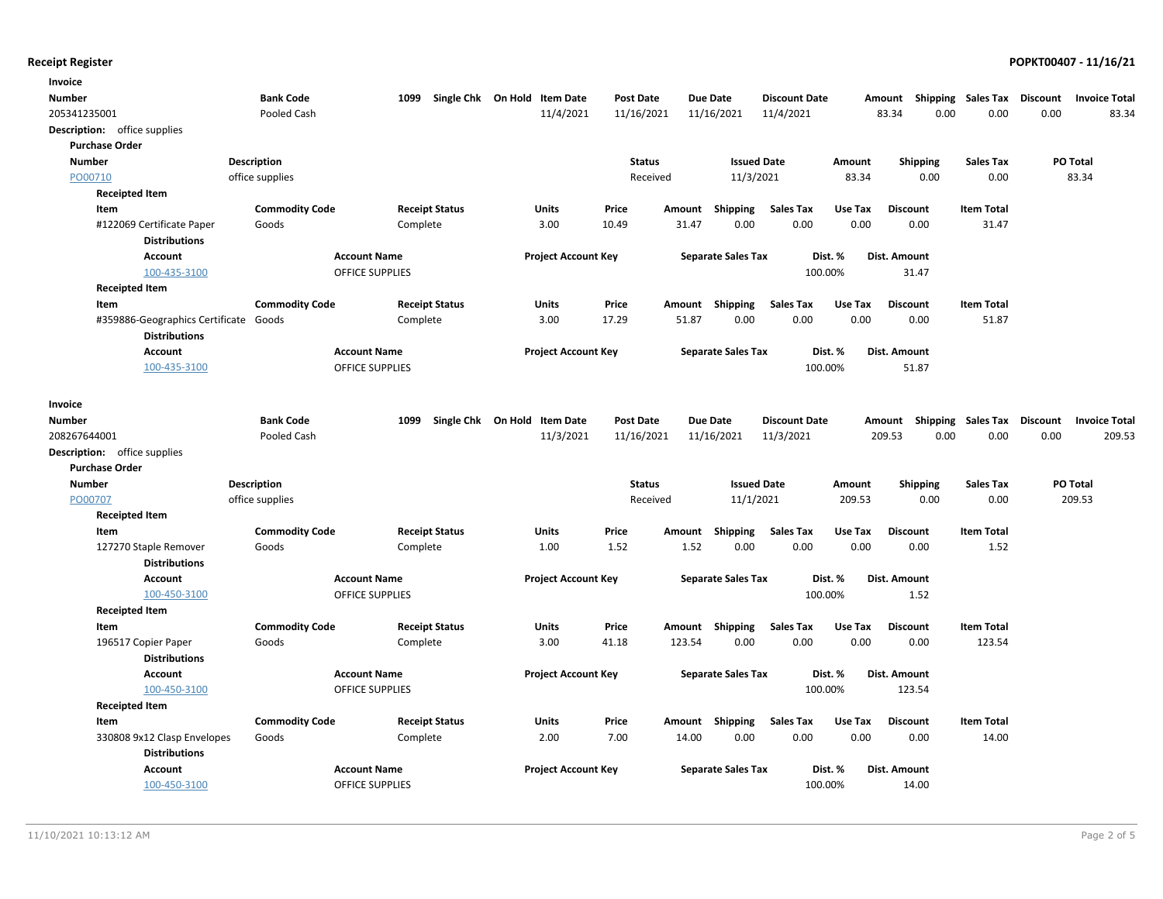| Invoice                               |                       |                                               |                              |                  |                 |                           |                      |         |                           |                   |                                  |        |
|---------------------------------------|-----------------------|-----------------------------------------------|------------------------------|------------------|-----------------|---------------------------|----------------------|---------|---------------------------|-------------------|----------------------------------|--------|
| Number                                | <b>Bank Code</b>      | 1099                                          | Single Chk On Hold Item Date | <b>Post Date</b> | <b>Due Date</b> |                           | <b>Discount Date</b> |         | Amount Shipping Sales Tax |                   | Discount<br><b>Invoice Total</b> |        |
| 205341235001                          | Pooled Cash           |                                               | 11/4/2021                    | 11/16/2021       |                 | 11/16/2021                | 11/4/2021            |         | 83.34<br>0.00             | 0.00              | 0.00                             | 83.34  |
| Description: office supplies          |                       |                                               |                              |                  |                 |                           |                      |         |                           |                   |                                  |        |
| <b>Purchase Order</b>                 |                       |                                               |                              |                  |                 |                           |                      |         |                           |                   |                                  |        |
| <b>Number</b>                         | Description           |                                               |                              | <b>Status</b>    |                 | <b>Issued Date</b>        |                      | Amount  | Shipping                  | <b>Sales Tax</b>  | PO Total                         |        |
| PO00710                               | office supplies       |                                               |                              | Received         |                 | 11/3/2021                 |                      | 83.34   | 0.00                      | 0.00              | 83.34                            |        |
| <b>Receipted Item</b>                 |                       |                                               |                              |                  |                 |                           |                      |         |                           |                   |                                  |        |
| Item                                  | <b>Commodity Code</b> | <b>Receipt Status</b>                         | Units                        | Price            | Amount          | Shipping                  | Sales Tax            | Use Tax | <b>Discount</b>           | <b>Item Total</b> |                                  |        |
| #122069 Certificate Paper             | Goods                 | Complete                                      | 3.00                         | 10.49            | 31.47           | 0.00                      | 0.00                 | 0.00    | 0.00                      | 31.47             |                                  |        |
| <b>Distributions</b>                  |                       |                                               |                              |                  |                 |                           |                      |         |                           |                   |                                  |        |
| <b>Account</b>                        |                       | <b>Account Name</b>                           | <b>Project Account Key</b>   |                  |                 | <b>Separate Sales Tax</b> | Dist. %              |         | Dist. Amount              |                   |                                  |        |
| 100-435-3100                          |                       | <b>OFFICE SUPPLIES</b>                        |                              |                  |                 |                           | 100.00%              |         | 31.47                     |                   |                                  |        |
| <b>Receipted Item</b>                 |                       |                                               |                              |                  |                 |                           |                      |         |                           |                   |                                  |        |
| Item                                  | <b>Commodity Code</b> | <b>Receipt Status</b>                         | <b>Units</b>                 | Price            | Amount          | Shipping                  | Sales Tax            | Use Tax | <b>Discount</b>           | <b>Item Total</b> |                                  |        |
| #359886-Geographics Certificate Goods |                       | Complete                                      | 3.00                         | 17.29            | 51.87           | 0.00                      | 0.00                 | 0.00    | 0.00                      | 51.87             |                                  |        |
| <b>Distributions</b>                  |                       |                                               |                              |                  |                 |                           |                      |         |                           |                   |                                  |        |
| <b>Account</b><br>100-435-3100        |                       | <b>Account Name</b><br><b>OFFICE SUPPLIES</b> | <b>Project Account Key</b>   |                  |                 | <b>Separate Sales Tax</b> | Dist. %<br>100.00%   |         | Dist. Amount<br>51.87     |                   |                                  |        |
|                                       |                       |                                               |                              |                  |                 |                           |                      |         |                           |                   |                                  |        |
| Invoice                               |                       |                                               |                              |                  |                 |                           |                      |         |                           |                   |                                  |        |
| Number                                | <b>Bank Code</b>      | 1099                                          | Single Chk On Hold Item Date | <b>Post Date</b> | <b>Due Date</b> |                           | <b>Discount Date</b> |         | Amount Shipping Sales Tax |                   | Discount<br><b>Invoice Total</b> |        |
| 208267644001                          | Pooled Cash           |                                               | 11/3/2021                    | 11/16/2021       |                 | 11/16/2021                | 11/3/2021            |         | 209.53<br>0.00            | 0.00              | 0.00                             | 209.53 |
| Description: office supplies          |                       |                                               |                              |                  |                 |                           |                      |         |                           |                   |                                  |        |
| <b>Purchase Order</b>                 |                       |                                               |                              |                  |                 |                           |                      |         |                           |                   |                                  |        |
| <b>Number</b>                         | Description           |                                               |                              | <b>Status</b>    |                 | <b>Issued Date</b>        |                      | Amount  | Shipping                  | <b>Sales Tax</b>  | PO Total                         |        |
| PO00707                               | office supplies       |                                               |                              | Received         |                 | 11/1/2021                 |                      | 209.53  | 0.00                      | 0.00              | 209.53                           |        |
| <b>Receipted Item</b>                 |                       |                                               |                              |                  |                 |                           |                      |         |                           |                   |                                  |        |
| Item                                  | <b>Commodity Code</b> | <b>Receipt Status</b>                         | Units                        | Price            | Amount          | <b>Shipping</b>           | Sales Tax            | Use Tax | <b>Discount</b>           | <b>Item Total</b> |                                  |        |
| 127270 Staple Remover                 | Goods                 | Complete                                      | 1.00                         | 1.52             | 1.52            | 0.00                      | 0.00                 | 0.00    | 0.00                      | 1.52              |                                  |        |
| <b>Distributions</b>                  |                       |                                               |                              |                  |                 |                           |                      |         |                           |                   |                                  |        |
| <b>Account</b>                        |                       | <b>Account Name</b>                           | <b>Project Account Key</b>   |                  |                 | <b>Separate Sales Tax</b> | Dist. %              |         | Dist. Amount              |                   |                                  |        |
| 100-450-3100                          |                       | OFFICE SUPPLIES                               |                              |                  |                 |                           | 100.00%              |         | 1.52                      |                   |                                  |        |
| <b>Receipted Item</b>                 |                       |                                               |                              |                  |                 |                           |                      |         |                           |                   |                                  |        |
| Item                                  | <b>Commodity Code</b> | <b>Receipt Status</b>                         | <b>Units</b>                 | Price            | Amount Shipping |                           | <b>Sales Tax</b>     | Use Tax | <b>Discount</b>           | <b>Item Total</b> |                                  |        |
| 196517 Copier Paper                   | Goods                 | Complete                                      | 3.00                         | 41.18            | 123.54          | 0.00                      | 0.00                 | 0.00    | 0.00                      | 123.54            |                                  |        |
| <b>Distributions</b>                  |                       |                                               |                              |                  |                 |                           |                      |         |                           |                   |                                  |        |
| <b>Account</b>                        |                       | <b>Account Name</b>                           | <b>Project Account Key</b>   |                  |                 | <b>Separate Sales Tax</b> | Dist. %              |         | Dist. Amount              |                   |                                  |        |
| 100-450-3100                          |                       | OFFICE SUPPLIES                               |                              |                  |                 |                           | 100.00%              |         | 123.54                    |                   |                                  |        |
| <b>Receipted Item</b>                 |                       |                                               |                              |                  |                 |                           |                      |         |                           |                   |                                  |        |
| Item                                  | <b>Commodity Code</b> | <b>Receipt Status</b>                         | Units                        | Price            | Amount Shipping |                           | Sales Tax            | Use Tax | <b>Discount</b>           | <b>Item Total</b> |                                  |        |
| 330808 9x12 Clasp Envelopes           | Goods                 | Complete                                      | 2.00                         | 7.00             | 14.00           | 0.00                      | 0.00                 | 0.00    | 0.00                      | 14.00             |                                  |        |
| <b>Distributions</b>                  |                       |                                               |                              |                  |                 |                           |                      |         |                           |                   |                                  |        |
| <b>Account</b>                        |                       | <b>Account Name</b>                           | <b>Project Account Key</b>   |                  |                 | <b>Separate Sales Tax</b> | Dist. %              |         | Dist. Amount              |                   |                                  |        |
| 100-450-3100                          |                       | <b>OFFICE SUPPLIES</b>                        |                              |                  |                 |                           | 100.00%              |         | 14.00                     |                   |                                  |        |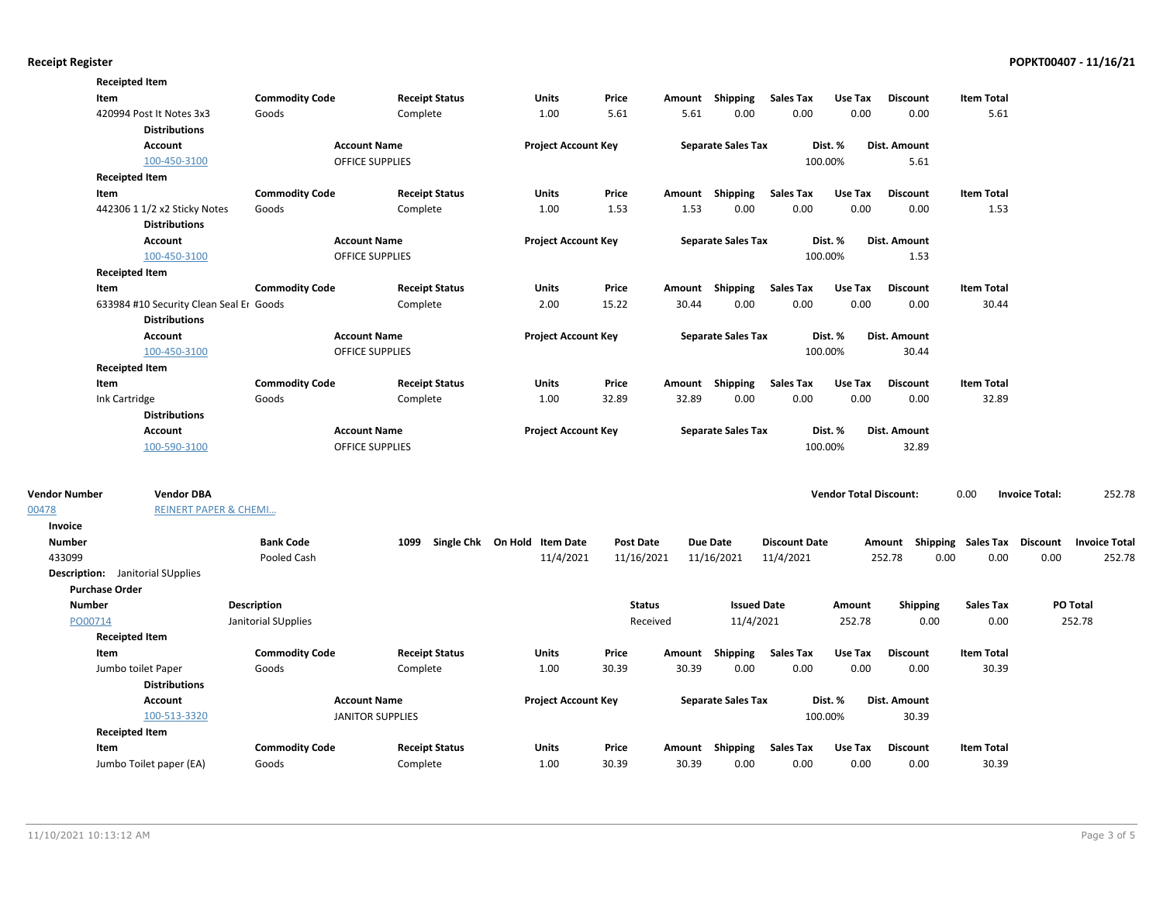|               | <b>Receipted Item</b>                      |                       |                         |                              |                  |        |                           |                      |                               |                                    |                   |                       |                      |
|---------------|--------------------------------------------|-----------------------|-------------------------|------------------------------|------------------|--------|---------------------------|----------------------|-------------------------------|------------------------------------|-------------------|-----------------------|----------------------|
|               | Item                                       | <b>Commodity Code</b> | <b>Receipt Status</b>   | Units                        | Price            |        | Amount Shipping           | <b>Sales Tax</b>     | Use Tax                       | <b>Discount</b>                    | <b>Item Total</b> |                       |                      |
|               | 420994 Post It Notes 3x3                   | Goods                 | Complete                | 1.00                         | 5.61             | 5.61   | 0.00                      | 0.00                 | 0.00                          | 0.00                               | 5.61              |                       |                      |
|               | <b>Distributions</b>                       |                       |                         |                              |                  |        |                           |                      |                               |                                    |                   |                       |                      |
|               | <b>Account</b>                             |                       | <b>Account Name</b>     | <b>Project Account Key</b>   |                  |        | <b>Separate Sales Tax</b> |                      | Dist. %                       | Dist. Amount                       |                   |                       |                      |
|               | 100-450-3100                               |                       | OFFICE SUPPLIES         |                              |                  |        |                           |                      | 100.00%                       | 5.61                               |                   |                       |                      |
|               | <b>Receipted Item</b>                      |                       |                         |                              |                  |        |                           |                      |                               |                                    |                   |                       |                      |
|               | Item                                       | <b>Commodity Code</b> | <b>Receipt Status</b>   | Units                        | Price            |        | Amount Shipping           | Sales Tax            | Use Tax                       | <b>Discount</b>                    | <b>Item Total</b> |                       |                      |
|               | 442306 1 1/2 x2 Sticky Notes               | Goods                 | Complete                | 1.00                         | 1.53             | 1.53   | 0.00                      | 0.00                 | 0.00                          | 0.00                               | 1.53              |                       |                      |
|               | <b>Distributions</b>                       |                       |                         |                              |                  |        |                           |                      |                               |                                    |                   |                       |                      |
|               | <b>Account</b>                             |                       | <b>Account Name</b>     | <b>Project Account Key</b>   |                  |        | <b>Separate Sales Tax</b> |                      | Dist. %                       | Dist. Amount                       |                   |                       |                      |
|               | 100-450-3100                               |                       | <b>OFFICE SUPPLIES</b>  |                              |                  |        |                           |                      | 100.00%                       | 1.53                               |                   |                       |                      |
|               | <b>Receipted Item</b>                      |                       |                         |                              |                  |        |                           |                      |                               |                                    |                   |                       |                      |
|               | Item                                       | <b>Commodity Code</b> | <b>Receipt Status</b>   | Units                        | Price            |        | Amount Shipping           | Sales Tax            | Use Tax                       | <b>Discount</b>                    | <b>Item Total</b> |                       |                      |
|               | 633984 #10 Security Clean Seal Er Goods    |                       | Complete                | 2.00                         | 15.22            | 30.44  | 0.00                      | 0.00                 | 0.00                          | 0.00                               | 30.44             |                       |                      |
|               | <b>Distributions</b>                       |                       |                         |                              |                  |        |                           |                      |                               |                                    |                   |                       |                      |
|               | <b>Account</b>                             |                       | <b>Account Name</b>     | <b>Project Account Key</b>   |                  |        | <b>Separate Sales Tax</b> |                      | Dist. %                       | Dist. Amount                       |                   |                       |                      |
|               | 100-450-3100                               |                       | OFFICE SUPPLIES         |                              |                  |        |                           |                      | 100.00%                       | 30.44                              |                   |                       |                      |
|               | <b>Receipted Item</b>                      |                       |                         |                              |                  |        |                           |                      |                               |                                    |                   |                       |                      |
|               | Item                                       | <b>Commodity Code</b> | <b>Receipt Status</b>   | Units                        | Price            |        | Amount Shipping           | <b>Sales Tax</b>     | Use Tax                       | <b>Discount</b>                    | <b>Item Total</b> |                       |                      |
|               | Ink Cartridge                              | Goods                 | Complete                | 1.00                         | 32.89            | 32.89  | 0.00                      | 0.00                 | 0.00                          | 0.00                               | 32.89             |                       |                      |
|               | <b>Distributions</b>                       |                       |                         |                              |                  |        |                           |                      |                               |                                    |                   |                       |                      |
|               | Account                                    |                       | <b>Account Name</b>     | <b>Project Account Key</b>   |                  |        | <b>Separate Sales Tax</b> |                      | Dist. %                       | <b>Dist. Amount</b>                |                   |                       |                      |
|               | 100-590-3100                               |                       | <b>OFFICE SUPPLIES</b>  |                              |                  |        |                           |                      | 100.00%                       | 32.89                              |                   |                       |                      |
|               |                                            |                       |                         |                              |                  |        |                           |                      |                               |                                    |                   |                       |                      |
| Vendor Number | <b>Vendor DBA</b>                          |                       |                         |                              |                  |        |                           |                      | <b>Vendor Total Discount:</b> |                                    | 0.00              | <b>Invoice Total:</b> | 252.78               |
| 00478         | <b>REINERT PAPER &amp; CHEMI</b>           |                       |                         |                              |                  |        |                           |                      |                               |                                    |                   |                       |                      |
| Invoice       |                                            |                       |                         |                              |                  |        |                           |                      |                               |                                    |                   |                       |                      |
| <b>Number</b> |                                            | <b>Bank Code</b>      | 1099                    | Single Chk On Hold Item Date | <b>Post Date</b> |        | <b>Due Date</b>           | <b>Discount Date</b> |                               | Amount Shipping Sales Tax Discount |                   |                       | <b>Invoice Total</b> |
| 433099        |                                            | Pooled Cash           |                         | 11/4/2021                    | 11/16/2021       |        | 11/16/2021                | 11/4/2021            |                               | 252.78<br>0.00                     | 0.00              | 0.00                  | 252.78               |
|               | <b>Description:</b> Janitorial SUpplies    |                       |                         |                              |                  |        |                           |                      |                               |                                    |                   |                       |                      |
|               | <b>Purchase Order</b>                      |                       |                         |                              |                  |        |                           |                      |                               |                                    |                   |                       |                      |
| <b>Number</b> |                                            | <b>Description</b>    |                         |                              | <b>Status</b>    |        | <b>Issued Date</b>        |                      | Amount                        | <b>Shipping</b>                    | <b>Sales Tax</b>  |                       | PO Total             |
| PO00714       |                                            | Janitorial SUpplies   |                         |                              | Received         |        | 11/4/2021                 |                      | 252.78                        | 0.00                               | 0.00              |                       | 252.78               |
|               | <b>Receipted Item</b>                      |                       |                         |                              |                  |        |                           |                      |                               |                                    |                   |                       |                      |
|               | Item                                       | <b>Commodity Code</b> | <b>Receipt Status</b>   | Units                        | Price            | Amount | Shipping                  | <b>Sales Tax</b>     | Use Tax                       | <b>Discount</b>                    | <b>Item Total</b> |                       |                      |
|               | Jumbo toilet Paper<br><b>Distributions</b> | Goods                 | Complete                | 1.00                         | 30.39            | 30.39  | 0.00                      | 0.00                 | 0.00                          | 0.00                               | 30.39             |                       |                      |
|               | Account                                    |                       | <b>Account Name</b>     | <b>Project Account Key</b>   |                  |        | <b>Separate Sales Tax</b> |                      | Dist. %                       | Dist. Amount                       |                   |                       |                      |
|               | 100-513-3320                               |                       | <b>JANITOR SUPPLIES</b> |                              |                  |        |                           |                      | 100.00%                       | 30.39                              |                   |                       |                      |
|               | <b>Receipted Item</b>                      |                       |                         |                              |                  |        |                           |                      |                               |                                    |                   |                       |                      |
|               | Item                                       | <b>Commodity Code</b> | <b>Receipt Status</b>   | <b>Units</b>                 | Price            |        | Amount Shipping           | <b>Sales Tax</b>     | Use Tax                       | <b>Discount</b>                    | <b>Item Total</b> |                       |                      |
|               | Jumbo Toilet paper (EA)                    | Goods                 | Complete                | 1.00                         | 30.39            | 30.39  | 0.00                      | 0.00                 | 0.00                          | 0.00                               | 30.39             |                       |                      |
|               |                                            |                       |                         |                              |                  |        |                           |                      |                               |                                    |                   |                       |                      |

00478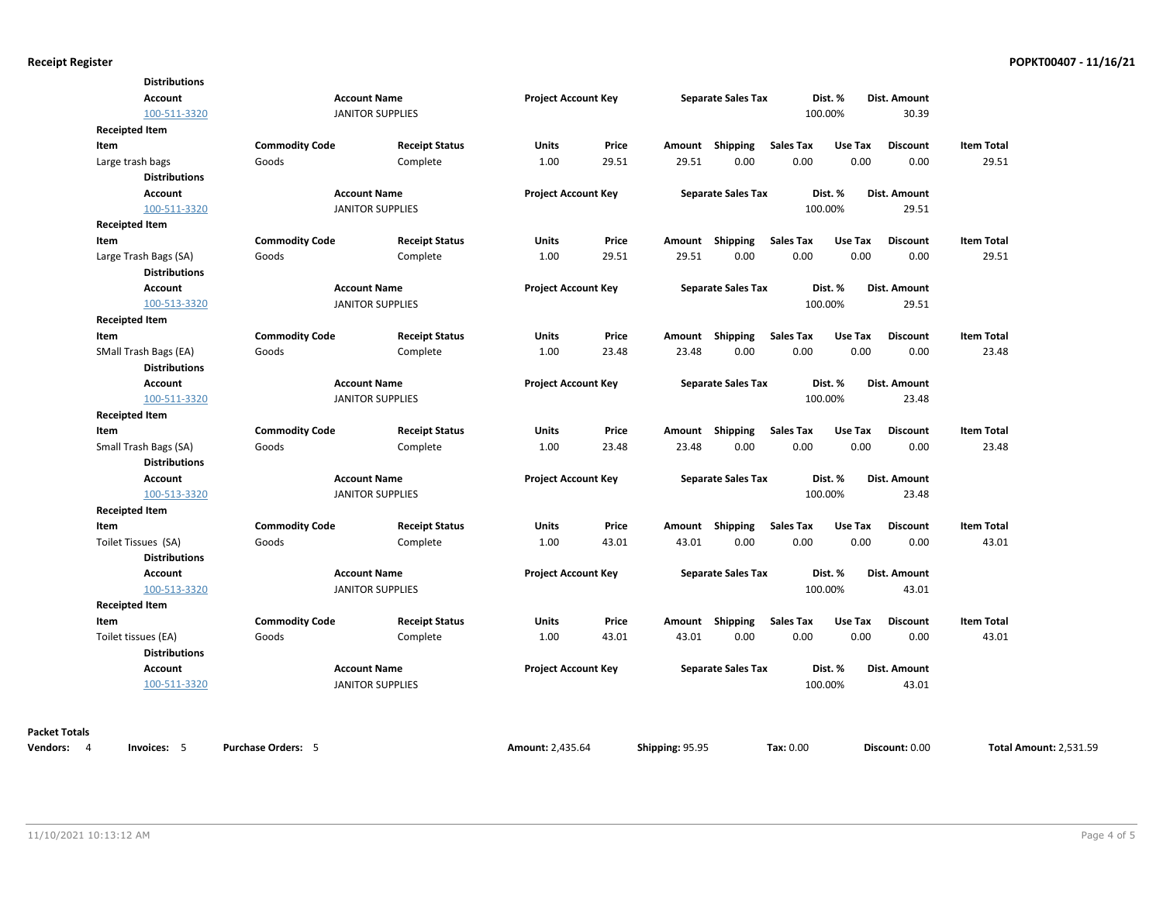| <b>Distributions</b>      |                           |                         |                            |       |                 |                           |                  |         |                 |                   |                               |
|---------------------------|---------------------------|-------------------------|----------------------------|-------|-----------------|---------------------------|------------------|---------|-----------------|-------------------|-------------------------------|
| <b>Account</b>            |                           | <b>Account Name</b>     | <b>Project Account Key</b> |       |                 | <b>Separate Sales Tax</b> |                  | Dist. % | Dist. Amount    |                   |                               |
| 100-511-3320              |                           | <b>JANITOR SUPPLIES</b> |                            |       |                 |                           |                  | 100.00% | 30.39           |                   |                               |
| <b>Receipted Item</b>     |                           |                         |                            |       |                 |                           |                  |         |                 |                   |                               |
| Item                      | <b>Commodity Code</b>     | <b>Receipt Status</b>   | Units                      | Price |                 | Amount Shipping           | <b>Sales Tax</b> | Use Tax | <b>Discount</b> | <b>Item Total</b> |                               |
| Large trash bags          | Goods                     | Complete                | 1.00                       | 29.51 | 29.51           | 0.00                      | 0.00             | 0.00    | 0.00            | 29.51             |                               |
| <b>Distributions</b>      |                           |                         |                            |       |                 |                           |                  |         |                 |                   |                               |
| Account                   |                           | <b>Account Name</b>     | <b>Project Account Key</b> |       |                 | <b>Separate Sales Tax</b> |                  | Dist. % | Dist. Amount    |                   |                               |
| 100-511-3320              |                           | <b>JANITOR SUPPLIES</b> |                            |       |                 |                           |                  | 100.00% | 29.51           |                   |                               |
| <b>Receipted Item</b>     |                           |                         |                            |       |                 |                           |                  |         |                 |                   |                               |
| Item                      | <b>Commodity Code</b>     | <b>Receipt Status</b>   | Units                      | Price |                 | Amount Shipping           | <b>Sales Tax</b> | Use Tax | <b>Discount</b> | <b>Item Total</b> |                               |
| Large Trash Bags (SA)     | Goods                     | Complete                | 1.00                       | 29.51 | 29.51           | 0.00                      | 0.00             | 0.00    | 0.00            | 29.51             |                               |
| <b>Distributions</b>      |                           |                         |                            |       |                 |                           |                  |         |                 |                   |                               |
| Account                   |                           | <b>Account Name</b>     | <b>Project Account Key</b> |       |                 | <b>Separate Sales Tax</b> |                  | Dist. % | Dist. Amount    |                   |                               |
| 100-513-3320              |                           | <b>JANITOR SUPPLIES</b> |                            |       |                 |                           |                  | 100.00% | 29.51           |                   |                               |
| <b>Receipted Item</b>     |                           |                         |                            |       |                 |                           |                  |         |                 |                   |                               |
| Item                      | <b>Commodity Code</b>     | <b>Receipt Status</b>   | Units                      | Price |                 | Amount Shipping           | <b>Sales Tax</b> | Use Tax | <b>Discount</b> | <b>Item Total</b> |                               |
| SMall Trash Bags (EA)     | Goods                     | Complete                | 1.00                       | 23.48 | 23.48           | 0.00                      | 0.00             | 0.00    | 0.00            | 23.48             |                               |
| <b>Distributions</b>      |                           |                         |                            |       |                 |                           |                  |         |                 |                   |                               |
| Account                   |                           | <b>Account Name</b>     | <b>Project Account Key</b> |       |                 | <b>Separate Sales Tax</b> |                  | Dist. % | Dist. Amount    |                   |                               |
| 100-511-3320              |                           | <b>JANITOR SUPPLIES</b> |                            |       |                 |                           |                  | 100.00% | 23.48           |                   |                               |
| <b>Receipted Item</b>     |                           |                         |                            |       |                 |                           |                  |         |                 |                   |                               |
| Item                      | <b>Commodity Code</b>     | <b>Receipt Status</b>   | Units                      | Price |                 | Amount Shipping           | <b>Sales Tax</b> | Use Tax | <b>Discount</b> | <b>Item Total</b> |                               |
| Small Trash Bags (SA)     | Goods                     | Complete                | 1.00                       | 23.48 | 23.48           | 0.00                      | 0.00             | 0.00    | 0.00            | 23.48             |                               |
| <b>Distributions</b>      |                           |                         |                            |       |                 |                           |                  |         |                 |                   |                               |
| <b>Account</b>            |                           | <b>Account Name</b>     | <b>Project Account Key</b> |       |                 | <b>Separate Sales Tax</b> |                  | Dist. % | Dist. Amount    |                   |                               |
| 100-513-3320              |                           | <b>JANITOR SUPPLIES</b> |                            |       |                 |                           |                  | 100.00% | 23.48           |                   |                               |
| <b>Receipted Item</b>     |                           |                         |                            |       |                 |                           |                  |         |                 |                   |                               |
| Item                      | <b>Commodity Code</b>     | <b>Receipt Status</b>   | Units                      | Price |                 | Amount Shipping           | <b>Sales Tax</b> | Use Tax | <b>Discount</b> | <b>Item Total</b> |                               |
| Toilet Tissues (SA)       | Goods                     | Complete                | 1.00                       | 43.01 | 43.01           | 0.00                      | 0.00             | 0.00    | 0.00            | 43.01             |                               |
| <b>Distributions</b>      |                           |                         |                            |       |                 |                           |                  |         |                 |                   |                               |
| <b>Account</b>            |                           | <b>Account Name</b>     | <b>Project Account Key</b> |       |                 | <b>Separate Sales Tax</b> |                  | Dist. % | Dist. Amount    |                   |                               |
| 100-513-3320              |                           | <b>JANITOR SUPPLIES</b> |                            |       |                 |                           |                  | 100.00% | 43.01           |                   |                               |
| <b>Receipted Item</b>     |                           |                         |                            |       |                 |                           |                  |         |                 |                   |                               |
| Item                      | <b>Commodity Code</b>     | <b>Receipt Status</b>   | Units                      | Price | Amount          | <b>Shipping</b>           | <b>Sales Tax</b> | Use Tax | <b>Discount</b> | <b>Item Total</b> |                               |
| Toilet tissues (EA)       | Goods                     | Complete                | 1.00                       | 43.01 | 43.01           | 0.00                      | 0.00             | 0.00    | 0.00            | 43.01             |                               |
| <b>Distributions</b>      |                           |                         |                            |       |                 |                           |                  |         |                 |                   |                               |
| <b>Account</b>            |                           | <b>Account Name</b>     | <b>Project Account Key</b> |       |                 | <b>Separate Sales Tax</b> |                  | Dist. % | Dist. Amount    |                   |                               |
| 100-511-3320              |                           | <b>JANITOR SUPPLIES</b> |                            |       |                 |                           |                  | 100.00% | 43.01           |                   |                               |
|                           |                           |                         |                            |       |                 |                           |                  |         |                 |                   |                               |
| <b>Packet Totals</b>      |                           |                         |                            |       |                 |                           |                  |         |                 |                   |                               |
| Vendors: 4<br>Invoices: 5 | <b>Purchase Orders: 5</b> |                         | Amount: 2,435.64           |       | Shipping: 95.95 |                           | Tax: 0.00        |         | Discount: 0.00  |                   | <b>Total Amount: 2,531.59</b> |